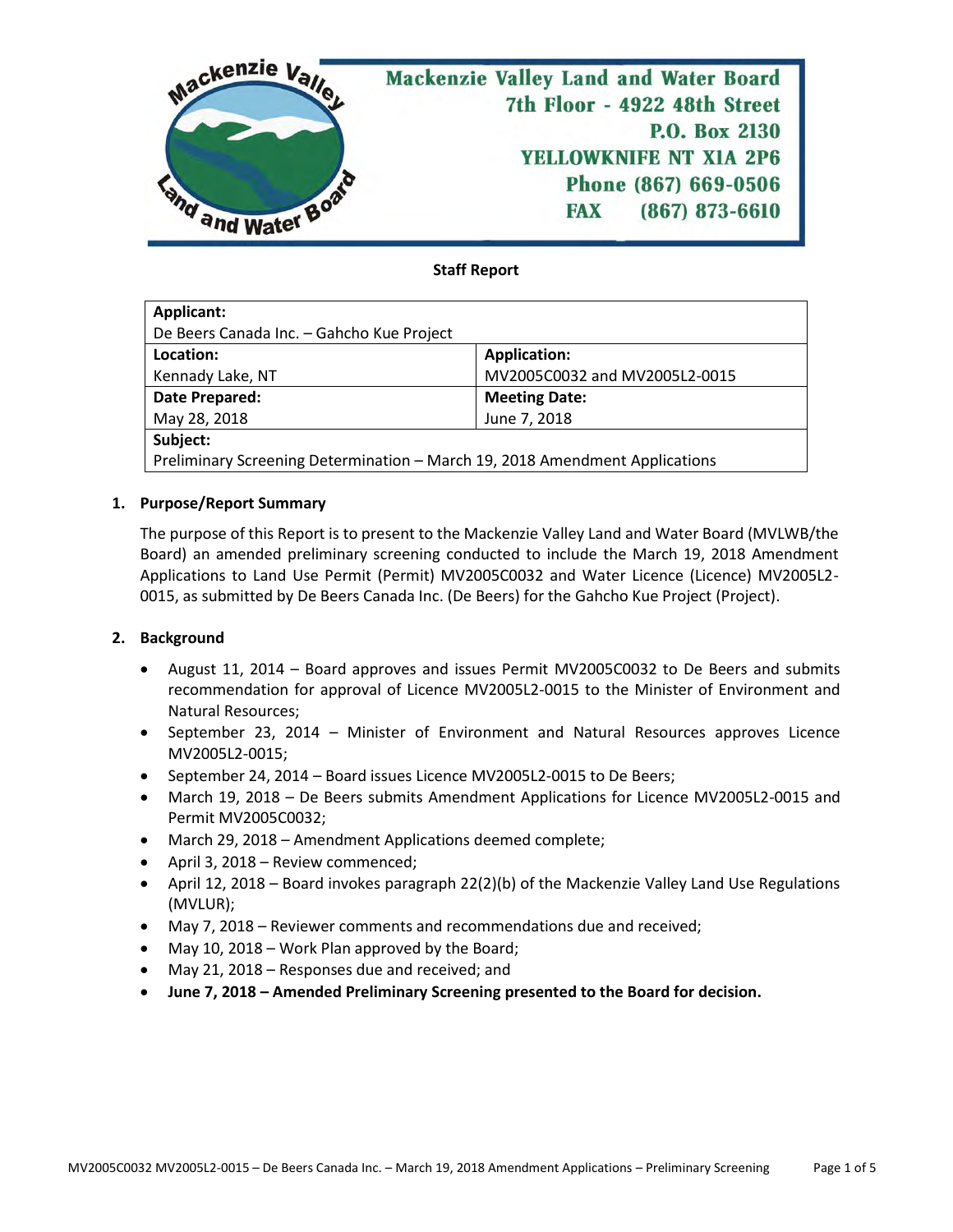

# **Staff Report**

| Applicant:                                                                  |                               |  |  |  |
|-----------------------------------------------------------------------------|-------------------------------|--|--|--|
| De Beers Canada Inc. - Gahcho Kue Project                                   |                               |  |  |  |
| Location:                                                                   | <b>Application:</b>           |  |  |  |
| Kennady Lake, NT                                                            | MV2005C0032 and MV2005L2-0015 |  |  |  |
| Date Prepared:                                                              | <b>Meeting Date:</b>          |  |  |  |
| May 28, 2018                                                                | June 7, 2018                  |  |  |  |
| Subject:                                                                    |                               |  |  |  |
| Preliminary Screening Determination - March 19, 2018 Amendment Applications |                               |  |  |  |

## **1. Purpose/Report Summary**

The purpose of this Report is to present to the Mackenzie Valley Land and Water Board (MVLWB/the Board) an amended preliminary screening conducted to include the March 19, 2018 Amendment Applications to Land Use Permit (Permit) MV2005C0032 and Water Licence (Licence) MV2005L2- 0015, as submitted by De Beers Canada Inc. (De Beers) for the Gahcho Kue Project (Project).

### **2. Background**

- August 11, 2014 Board approves and issues Permit MV2005C0032 to De Beers and submits recommendation for approval of Licence MV2005L2-0015 to the Minister of Environment and Natural Resources;
- September 23, 2014 Minister of Environment and Natural Resources approves Licence MV2005L2-0015;
- September 24, 2014 Board issues Licence MV2005L2-0015 to De Beers;
- March 19, 2018 De Beers submits Amendment Applications for Licence MV2005L2-0015 and Permit MV2005C0032;
- March 29, 2018 Amendment Applications deemed complete;
- April 3, 2018 Review commenced;
- April 12, 2018 Board invokes paragraph 22(2)(b) of the Mackenzie Valley Land Use Regulations (MVLUR);
- May 7, 2018 Reviewer comments and recommendations due and received;
- May 10, 2018 Work Plan approved by the Board;
- May 21, 2018 Responses due and received; and
- **June 7, 2018 – Amended Preliminary Screening presented to the Board for decision.**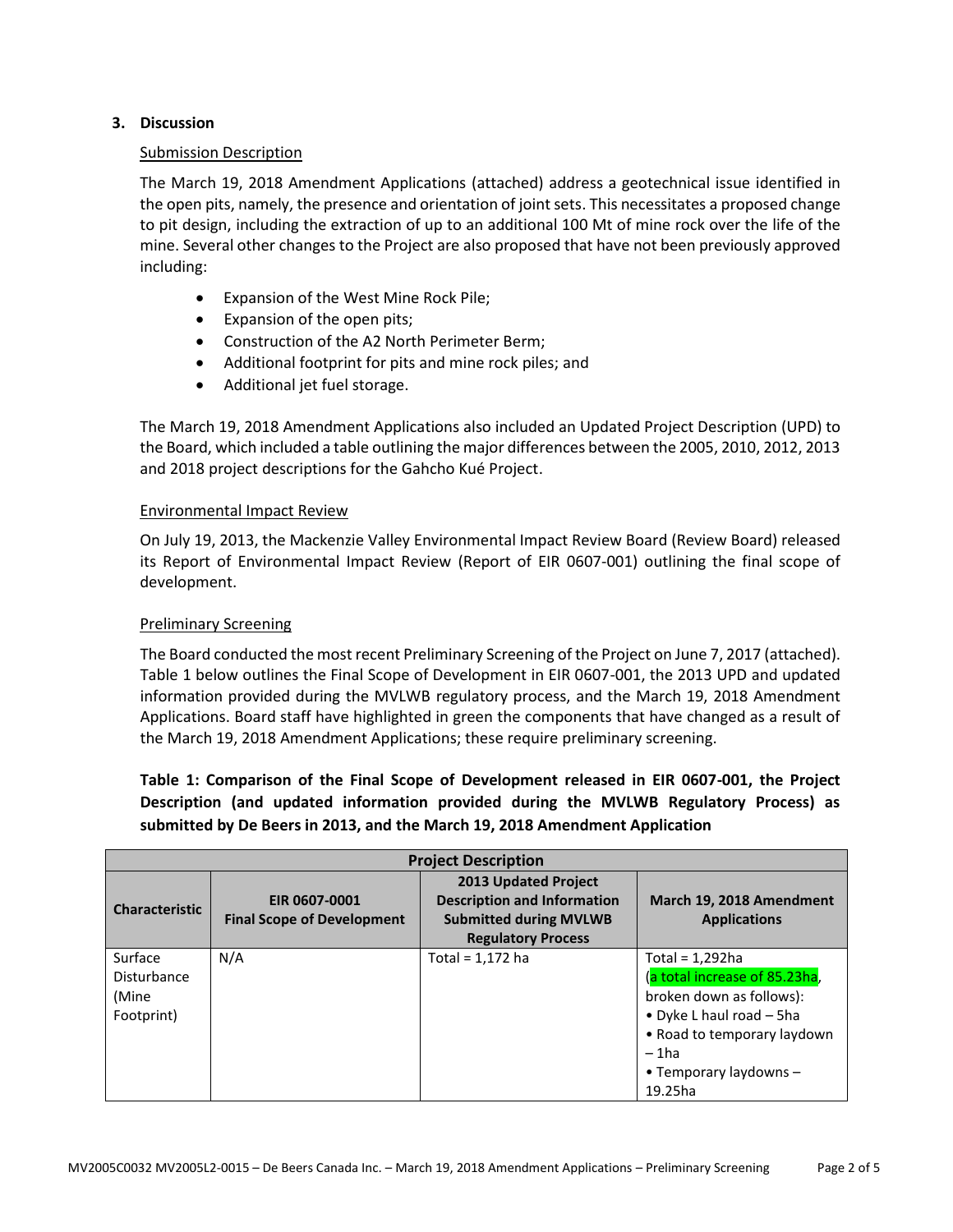# **3. Discussion**

### Submission Description

The March 19, 2018 Amendment Applications (attached) address a geotechnical issue identified in the open pits, namely, the presence and orientation of joint sets. This necessitates a proposed change to pit design, including the extraction of up to an additional 100 Mt of mine rock over the life of the mine. Several other changes to the Project are also proposed that have not been previously approved including:

- Expansion of the West Mine Rock Pile;
- Expansion of the open pits;
- Construction of the A2 North Perimeter Berm;
- Additional footprint for pits and mine rock piles; and
- Additional jet fuel storage.

The March 19, 2018 Amendment Applications also included an Updated Project Description (UPD) to the Board, which included a table outlining the major differences between the 2005, 2010, 2012, 2013 and 2018 project descriptions for the Gahcho Kué Project.

## Environmental Impact Review

On July 19, 2013, the Mackenzie Valley Environmental Impact Review Board (Review Board) released its Report of Environmental Impact Review (Report of EIR 0607-001) outlining the final scope of development.

# Preliminary Screening

The Board conducted the most recent Preliminary Screening of the Project on June 7, 2017 (attached). Table 1 below outlines the Final Scope of Development in EIR 0607-001, the 2013 UPD and updated information provided during the MVLWB regulatory process, and the March 19, 2018 Amendment Applications. Board staff have highlighted in green the components that have changed as a result of the March 19, 2018 Amendment Applications; these require preliminary screening.

**Table 1: Comparison of the Final Scope of Development released in EIR 0607-001, the Project Description (and updated information provided during the MVLWB Regulatory Process) as submitted by De Beers in 2013, and the March 19, 2018 Amendment Application**

| <b>Project Description</b>                    |                                                    |                                                                                                                                 |                                                                                                                                                                                                |  |
|-----------------------------------------------|----------------------------------------------------|---------------------------------------------------------------------------------------------------------------------------------|------------------------------------------------------------------------------------------------------------------------------------------------------------------------------------------------|--|
| <b>Characteristic</b>                         | EIR 0607-0001<br><b>Final Scope of Development</b> | <b>2013 Updated Project</b><br><b>Description and Information</b><br><b>Submitted during MVLWB</b><br><b>Regulatory Process</b> | March 19, 2018 Amendment<br><b>Applications</b>                                                                                                                                                |  |
| Surface<br>Disturbance<br>(Mine<br>Footprint) | N/A                                                | Total = 1,172 ha                                                                                                                | Total = $1,292$ ha<br>(a total increase of 85.23ha,<br>broken down as follows):<br>• Dyke L haul road $-$ 5ha<br>• Road to temporary laydown<br>$-1$ ha<br>• Temporary laydowns $-$<br>19.25ha |  |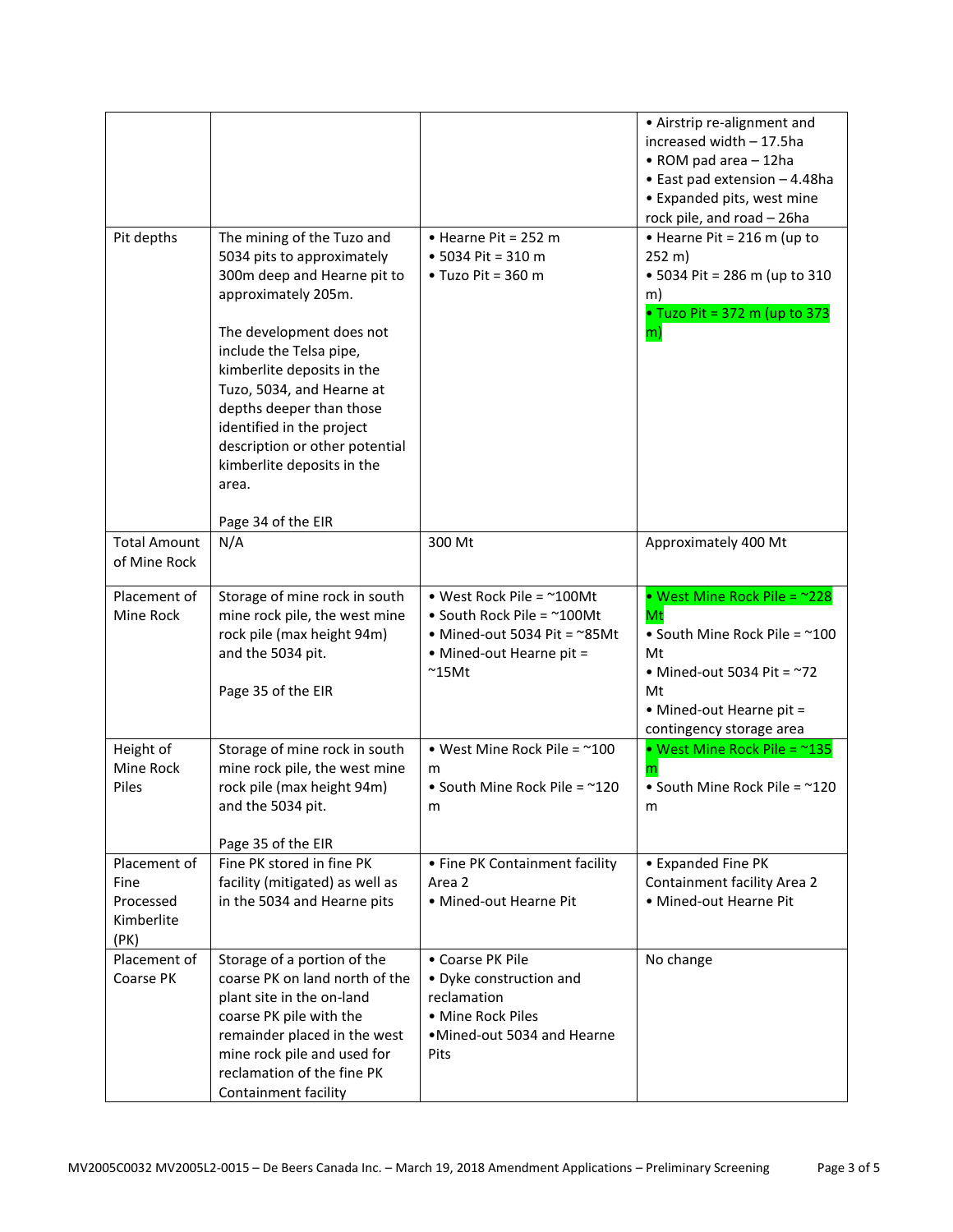|                                                         |                                                                                                                                                                                                                                                                                                                                                                                          |                                                                                                                                                         | • Airstrip re-alignment and<br>increased width - 17.5ha<br>• ROM pad area - 12ha<br>• East pad extension - 4.48ha<br>• Expanded pits, west mine<br>rock pile, and road - 26ha |
|---------------------------------------------------------|------------------------------------------------------------------------------------------------------------------------------------------------------------------------------------------------------------------------------------------------------------------------------------------------------------------------------------------------------------------------------------------|---------------------------------------------------------------------------------------------------------------------------------------------------------|-------------------------------------------------------------------------------------------------------------------------------------------------------------------------------|
| Pit depths                                              | The mining of the Tuzo and<br>5034 pits to approximately<br>300m deep and Hearne pit to<br>approximately 205m.<br>The development does not<br>include the Telsa pipe,<br>kimberlite deposits in the<br>Tuzo, 5034, and Hearne at<br>depths deeper than those<br>identified in the project<br>description or other potential<br>kimberlite deposits in the<br>area.<br>Page 34 of the EIR | • Hearne Pit = 252 m<br>• 5034 Pit = 310 m<br>$\bullet$ Tuzo Pit = 360 m                                                                                | • Hearne Pit = 216 m (up to<br>$252 \text{ m}$ )<br>• 5034 Pit = 286 m (up to 310<br>m)<br>• Tuzo Pit = 372 m (up to 373<br>m)                                                |
| <b>Total Amount</b><br>of Mine Rock                     | N/A                                                                                                                                                                                                                                                                                                                                                                                      | 300 Mt                                                                                                                                                  | Approximately 400 Mt                                                                                                                                                          |
| Placement of<br>Mine Rock                               | Storage of mine rock in south<br>mine rock pile, the west mine<br>rock pile (max height 94m)<br>and the 5034 pit.<br>Page 35 of the EIR                                                                                                                                                                                                                                                  | • West Rock Pile = $~100$ Mt<br>• South Rock Pile = $^{\sim}$ 100Mt<br>• Mined-out 5034 Pit = $\sim$ 85Mt<br>• Mined-out Hearne pit =<br>$^{\sim}$ 15Mt | • West Mine Rock Pile = ~228<br>Mt<br>• South Mine Rock Pile = ~100<br>Mt<br>• Mined-out 5034 Pit = $\sim$ 72<br>Mt<br>• Mined-out Hearne pit =<br>contingency storage area   |
| Height of<br>Mine Rock<br>Piles                         | Storage of mine rock in south<br>mine rock pile, the west mine<br>rock pile (max height 94m)<br>and the 5034 pit.<br>Page 35 of the EIR                                                                                                                                                                                                                                                  | • West Mine Rock Pile = $~100$<br>m<br>• South Mine Rock Pile = $^{\sim}120$<br>m                                                                       | • West Mine Rock Pile = ~135<br>m<br>• South Mine Rock Pile = ~120<br>m                                                                                                       |
| Placement of<br>Fine<br>Processed<br>Kimberlite<br>(PK) | Fine PK stored in fine PK<br>facility (mitigated) as well as<br>in the 5034 and Hearne pits                                                                                                                                                                                                                                                                                              | • Fine PK Containment facility<br>Area 2<br>• Mined-out Hearne Pit                                                                                      | • Expanded Fine PK<br>Containment facility Area 2<br>• Mined-out Hearne Pit                                                                                                   |
| Placement of<br>Coarse PK                               | Storage of a portion of the<br>coarse PK on land north of the<br>plant site in the on-land<br>coarse PK pile with the<br>remainder placed in the west<br>mine rock pile and used for<br>reclamation of the fine PK<br>Containment facility                                                                                                                                               | • Coarse PK Pile<br>• Dyke construction and<br>reclamation<br>• Mine Rock Piles<br>•Mined-out 5034 and Hearne<br>Pits                                   | No change                                                                                                                                                                     |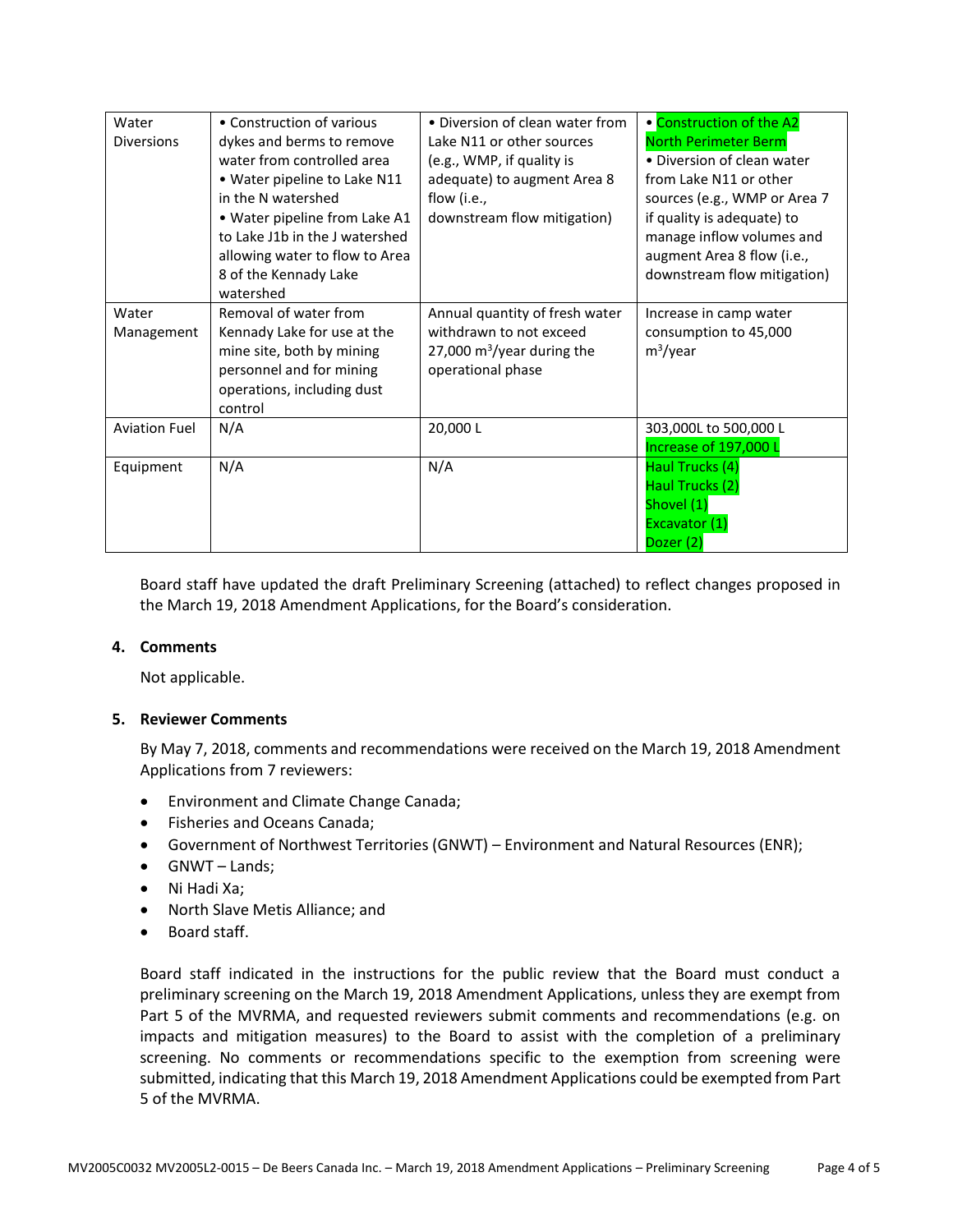| Water                | • Construction of various      | • Diversion of clean water from      | • Construction of the A2     |
|----------------------|--------------------------------|--------------------------------------|------------------------------|
| <b>Diversions</b>    | dykes and berms to remove      | Lake N11 or other sources            | <b>North Perimeter Berm</b>  |
|                      | water from controlled area     | (e.g., WMP, if quality is            | • Diversion of clean water   |
|                      | • Water pipeline to Lake N11   | adequate) to augment Area 8          | from Lake N11 or other       |
|                      | in the N watershed             | flow (i.e.,                          | sources (e.g., WMP or Area 7 |
|                      | • Water pipeline from Lake A1  | downstream flow mitigation)          | if quality is adequate) to   |
|                      | to Lake J1b in the J watershed |                                      | manage inflow volumes and    |
|                      | allowing water to flow to Area |                                      | augment Area 8 flow (i.e.,   |
|                      | 8 of the Kennady Lake          |                                      | downstream flow mitigation)  |
|                      | watershed                      |                                      |                              |
| Water                | Removal of water from          | Annual quantity of fresh water       | Increase in camp water       |
| Management           | Kennady Lake for use at the    | withdrawn to not exceed              | consumption to 45,000        |
|                      | mine site, both by mining      | 27,000 $\text{m}^3$ /year during the | $m^3$ /year                  |
|                      | personnel and for mining       | operational phase                    |                              |
|                      | operations, including dust     |                                      |                              |
|                      | control                        |                                      |                              |
| <b>Aviation Fuel</b> | N/A                            | 20,000L                              | 303,000L to 500,000 L        |
|                      |                                |                                      | Increase of 197,000 L        |
| Equipment            | N/A                            | N/A                                  | Haul Trucks (4)              |
|                      |                                |                                      | Haul Trucks (2)              |
|                      |                                |                                      | Shovel (1)                   |
|                      |                                |                                      | Excavator (1)                |
|                      |                                |                                      | Dozer (2)                    |

Board staff have updated the draft Preliminary Screening (attached) to reflect changes proposed in the March 19, 2018 Amendment Applications, for the Board's consideration.

### **4. Comments**

Not applicable.

### **5. Reviewer Comments**

By May 7, 2018, comments and recommendations were received on the March 19, 2018 Amendment Applications from 7 reviewers:

- Environment and Climate Change Canada;
- Fisheries and Oceans Canada;
- Government of Northwest Territories (GNWT) Environment and Natural Resources (ENR);
- GNWT Lands;
- Ni Hadi Xa;
- North Slave Metis Alliance; and
- Board staff.

Board staff indicated in the instructions for the public review that the Board must conduct a preliminary screening on the March 19, 2018 Amendment Applications, unless they are exempt from Part 5 of the MVRMA, and requested reviewers submit comments and recommendations (e.g. on impacts and mitigation measures) to the Board to assist with the completion of a preliminary screening. No comments or recommendations specific to the exemption from screening were submitted, indicating that this March 19, 2018 Amendment Applications could be exempted from Part 5 of the MVRMA.